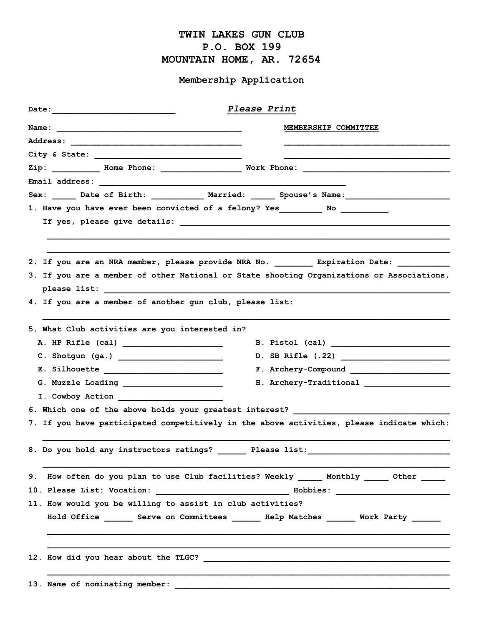## TWIN LAKES GUN CLUB P.O. BOX 199 MOUNTAIN HOME, AR. 72654

## Membership Application

|                                                                               | Please Print                                                                                        |
|-------------------------------------------------------------------------------|-----------------------------------------------------------------------------------------------------|
|                                                                               | MEMBERSHIP COMMITTEE                                                                                |
|                                                                               |                                                                                                     |
|                                                                               |                                                                                                     |
|                                                                               | Zip: __________ Home Phone: _____________________ Work Phone: ___________________                   |
|                                                                               |                                                                                                     |
|                                                                               | Sex: ______ Date of Birth: ____________ Married: ______ Spouse's Name: ____________________________ |
| 1. Have you have ever been convicted of a felony? Yes_________ No ___________ |                                                                                                     |
|                                                                               |                                                                                                     |
|                                                                               |                                                                                                     |
|                                                                               |                                                                                                     |
|                                                                               | 2. If you are an NRA member, please provide NRA No. ___________ Expiration Date: ___________        |
|                                                                               | 3. If you are a member of other National or State shooting Organizations or Associations,           |
|                                                                               |                                                                                                     |
| 4. If you are a member of another gun club, please list:                      |                                                                                                     |
|                                                                               |                                                                                                     |
| 5. What Club activities are you interested in?                                |                                                                                                     |
|                                                                               | B. Pistol (cal) $\overline{\qquad \qquad }$                                                         |
|                                                                               | D. SB Rifle (.22)                                                                                   |
|                                                                               | F. Archery-Compound                                                                                 |
|                                                                               |                                                                                                     |
|                                                                               |                                                                                                     |
| 6. Which one of the above holds your greatest interest?                       |                                                                                                     |
|                                                                               | 7. If you have participated competitively in the above activities, please indicate which:           |
|                                                                               |                                                                                                     |
|                                                                               |                                                                                                     |
|                                                                               |                                                                                                     |
| 9.                                                                            | How often do you plan to use Club facilities? Weekly ____________________________                   |
|                                                                               |                                                                                                     |
| 11. How would you be willing to assist in club activities?                    |                                                                                                     |
|                                                                               | Hold Office ________ Serve on Committees ________ Help Matches _______ Work Party _______           |
|                                                                               |                                                                                                     |
|                                                                               |                                                                                                     |
|                                                                               |                                                                                                     |
| 13. Name of nominating member:                                                |                                                                                                     |
|                                                                               |                                                                                                     |